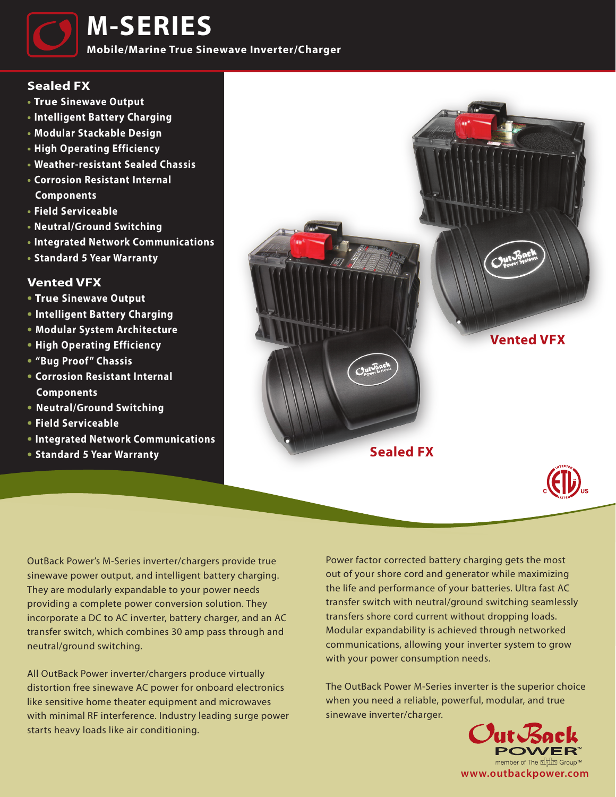

**M-SERIES**

**Mobile/Marine True Sinewave Inverter/Charger**

## **Sealed FX**

- **• True Sinewave Output**
- **• Intelligent Battery Charging**
- **• Modular Stackable Design**
- **• High Operating Efficiency**
- **• Weather-resistant Sealed Chassis**
- **• Corrosion Resistant Internal Components**
- **• Field Serviceable**
- **Neutral/Ground Switching**
- **• Integrated Network Communications**
- **• Standard 5 Year Warranty**

## **Vented VFX**

- **• True Sinewave Output**
- **• Intelligent Battery Charging**
- **• Modular System Architecture**
- **• High Operating Efficiency**
- **• "Bug Proof " Chassis**
- **• Corrosion Resistant Internal Components**
- **Neutral/Ground Switching**
- **• Field Serviceable**
- **• Integrated Network Communications**
- **• Standard 5 Year Warranty**



OutBack Power's M-Series inverter/chargers provide true sinewave power output, and intelligent battery charging. They are modularly expandable to your power needs providing a complete power conversion solution. They incorporate a DC to AC inverter, battery charger, and an AC transfer switch, which combines 30 amp pass through and neutral/ground switching.

All OutBack Power inverter/chargers produce virtually distortion free sinewave AC power for onboard electronics like sensitive home theater equipment and microwaves with minimal RF interference. Industry leading surge power starts heavy loads like air conditioning.

Power factor corrected battery charging gets the most out of your shore cord and generator while maximizing the life and performance of your batteries. Ultra fast AC transfer switch with neutral/ground switching seamlessly transfers shore cord current without dropping loads. Modular expandability is achieved through networked communications, allowing your inverter system to grow with your power consumption needs.

The OutBack Power M-Series inverter is the superior choice when you need a reliable, powerful, modular, and true sinewave inverter/charger.

> Out Back member of The <u>ਜੀਧੀਜ਼</u> Group™ **www.outbackpower.com**